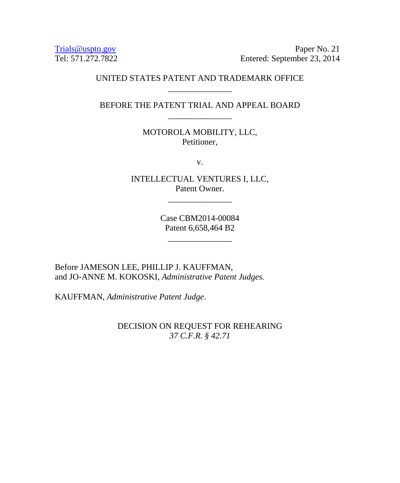Trials @uspto.gov<br>Tel: 571.272.7822 Paper No. 21<br>Entered: September 23, 2014 Entered: September 23, 2014

# UNITED STATES PATENT AND TRADEMARK OFFICE \_\_\_\_\_\_\_\_\_\_\_\_\_\_\_

BEFORE THE PATENT TRIAL AND APPEAL BOARD \_\_\_\_\_\_\_\_\_\_\_\_\_\_\_

> MOTOROLA MOBILITY, LLC, Petitioner,

> > v.

INTELLECTUAL VENTURES I, LLC, Patent Owner.

\_\_\_\_\_\_\_\_\_\_\_\_\_\_\_

Case CBM2014-00084 Patent 6,658,464 B2

\_\_\_\_\_\_\_\_\_\_\_\_\_\_\_

Before JAMESON LEE, PHILLIP J. KAUFFMAN, and JO-ANNE M. KOKOSKI, *Administrative Patent Judges.*

KAUFFMAN, *Administrative Patent Judge*.

DECISION ON REQUEST FOR REHEARING *37 C.F.R. § 42.71*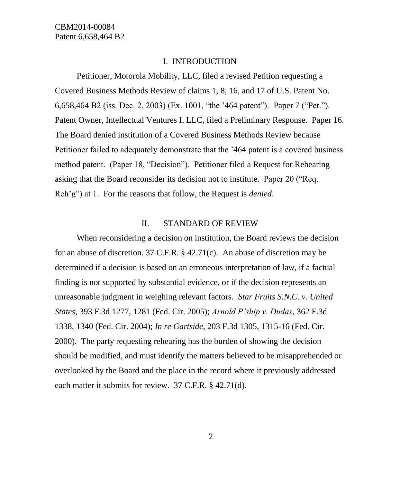### I. INTRODUCTION

Petitioner, Motorola Mobility, LLC, filed a revised Petition requesting a Covered Business Methods Review of claims 1, 8, 16, and 17 of U.S. Patent No. 6,658,464 B2 (iss. Dec. 2, 2003) (Ex. 1001, "the '464 patent"). Paper 7 ("Pet."). Patent Owner, Intellectual Ventures I, LLC, filed a Preliminary Response. Paper 16. The Board denied institution of a Covered Business Methods Review because Petitioner failed to adequately demonstrate that the '464 patent is a covered business method patent. (Paper 18, "Decision"). Petitioner filed a Request for Rehearing asking that the Board reconsider its decision not to institute. Paper 20 ("Req. Reh'g") at 1. For the reasons that follow, the Request is *denied*.

#### II. STANDARD OF REVIEW

When reconsidering a decision on institution, the Board reviews the decision for an abuse of discretion. 37 C.F.R. § 42.71(c). An abuse of discretion may be determined if a decision is based on an erroneous interpretation of law, if a factual finding is not supported by substantial evidence, or if the decision represents an unreasonable judgment in weighing relevant factors. *Star Fruits S.N.C. v. United States*, 393 F.3d 1277, 1281 (Fed. Cir. 2005); *Arnold P'ship v. Dudas*, 362 F.3d 1338, 1340 (Fed. Cir. 2004); *In re Gartside*, 203 F.3d 1305, 1315-16 (Fed. Cir. 2000). The party requesting rehearing has the burden of showing the decision should be modified, and must identify the matters believed to be misapprehended or overlooked by the Board and the place in the record where it previously addressed each matter it submits for review. 37 C.F.R. § 42.71(d).

2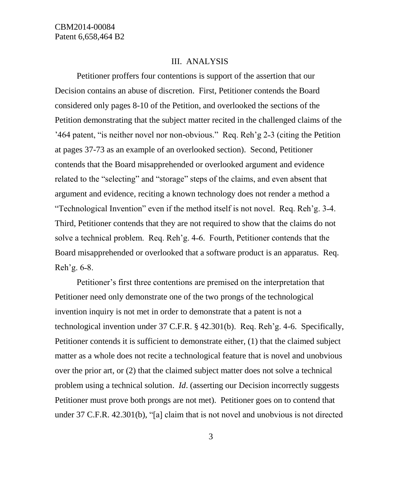#### III. ANALYSIS

Petitioner proffers four contentions is support of the assertion that our Decision contains an abuse of discretion. First, Petitioner contends the Board considered only pages 8-10 of the Petition, and overlooked the sections of the Petition demonstrating that the subject matter recited in the challenged claims of the '464 patent, "is neither novel nor non-obvious." Req. Reh'g 2-3 (citing the Petition at pages 37-73 as an example of an overlooked section). Second, Petitioner contends that the Board misapprehended or overlooked argument and evidence related to the "selecting" and "storage" steps of the claims, and even absent that argument and evidence, reciting a known technology does not render a method a "Technological Invention" even if the method itself is not novel. Req. Reh'g. 3-4. Third, Petitioner contends that they are not required to show that the claims do not solve a technical problem. Req. Reh'g. 4–6. Fourth, Petitioner contends that the Board misapprehended or overlooked that a software product is an apparatus. Req. Reh'g.  $6-8$ .

Petitioner's first three contentions are premised on the interpretation that Petitioner need only demonstrate one of the two prongs of the technological invention inquiry is not met in order to demonstrate that a patent is not a technological invention under 37 C.F.R. § 42.301(b). Req. Reh'g. 4-6. Specifically, Petitioner contends it is sufficient to demonstrate either, (1) that the claimed subject matter as a whole does not recite a technological feature that is novel and unobvious over the prior art, or (2) that the claimed subject matter does not solve a technical problem using a technical solution. *Id*. (asserting our Decision incorrectly suggests Petitioner must prove both prongs are not met). Petitioner goes on to contend that under 37 C.F.R. 42.301(b), "[a] claim that is not novel and unobvious is not directed

3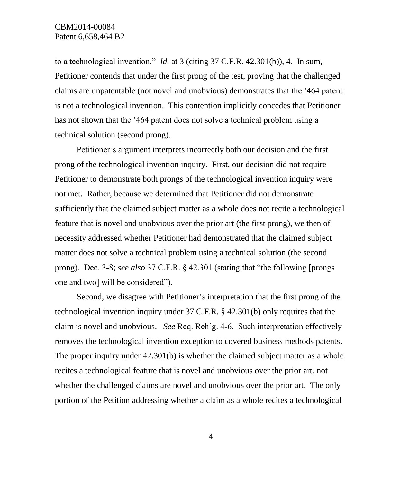## CBM2014-00084 Patent 6,658,464 B2

to a technological invention." *Id.* at 3 (citing 37 C.F.R. 42.301(b)), 4. In sum, Petitioner contends that under the first prong of the test, proving that the challenged claims are unpatentable (not novel and unobvious) demonstrates that the '464 patent is not a technological invention. This contention implicitly concedes that Petitioner has not shown that the '464 patent does not solve a technical problem using a technical solution (second prong).

Petitioner's argument interprets incorrectly both our decision and the first prong of the technological invention inquiry. First, our decision did not require Petitioner to demonstrate both prongs of the technological invention inquiry were not met. Rather, because we determined that Petitioner did not demonstrate sufficiently that the claimed subject matter as a whole does not recite a technological feature that is novel and unobvious over the prior art (the first prong), we then of necessity addressed whether Petitioner had demonstrated that the claimed subject matter does not solve a technical problem using a technical solution (the second prong). Dec. 3-8; *see also* 37 C.F.R. § 42.301 (stating that "the following [prongs] one and two] will be considered").

Second, we disagree with Petitioner's interpretation that the first prong of the technological invention inquiry under 37 C.F.R. § 42.301(b) only requires that the claim is novel and unobvious. *See* Req. Reh'g. 4-6. Such interpretation effectively removes the technological invention exception to covered business methods patents. The proper inquiry under 42.301(b) is whether the claimed subject matter as a whole recites a technological feature that is novel and unobvious over the prior art, not whether the challenged claims are novel and unobvious over the prior art. The only portion of the Petition addressing whether a claim as a whole recites a technological

4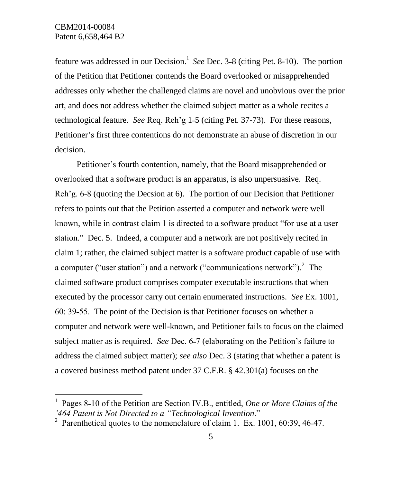$\overline{a}$ 

feature was addressed in our Decision.<sup>1</sup> See Dec. 3-8 (citing Pet. 8-10). The portion of the Petition that Petitioner contends the Board overlooked or misapprehended addresses only whether the challenged claims are novel and unobvious over the prior art, and does not address whether the claimed subject matter as a whole recites a technological feature. *See* Req. Reh'g 1˗5 (citing Pet. 37-73). For these reasons, Petitioner's first three contentions do not demonstrate an abuse of discretion in our decision.

Petitioner's fourth contention, namely, that the Board misapprehended or overlooked that a software product is an apparatus, is also unpersuasive. Req. Reh'g. 6-8 (quoting the Decsion at 6). The portion of our Decision that Petitioner refers to points out that the Petition asserted a computer and network were well known, while in contrast claim 1 is directed to a software product "for use at a user station." Dec. 5. Indeed, a computer and a network are not positively recited in claim 1; rather, the claimed subject matter is a software product capable of use with a computer ("user station") and a network ("communications network"). $2$  The claimed software product comprises computer executable instructions that when executed by the processor carry out certain enumerated instructions. *See* Ex. 1001, 60: 39˗55. The point of the Decision is that Petitioner focuses on whether a computer and network were well-known, and Petitioner fails to focus on the claimed subject matter as is required. *See* Dec. 6-7 (elaborating on the Petition's failure to address the claimed subject matter); *see also* Dec. 3 (stating that whether a patent is a covered business method patent under 37 C.F.R. § 42.301(a) focuses on the

<sup>&</sup>lt;sup>1</sup> Pages 8-10 of the Petition are Section IV.B., entitled, *One or More Claims of the '464 Patent is Not Directed to a "Technological Invention*."

<sup>&</sup>lt;sup>2</sup> Parenthetical quotes to the nomenclature of claim 1. Ex. 1001, 60:39, 46-47.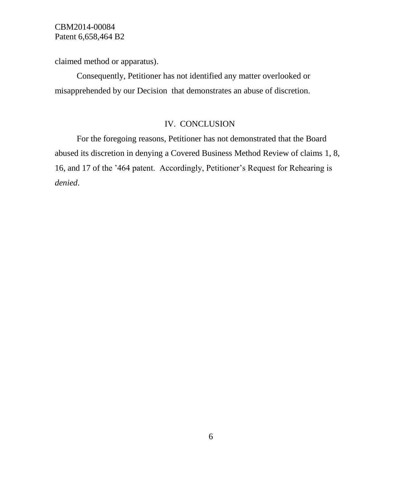CBM2014-00084 Patent 6,658,464 B2

claimed method or apparatus).

Consequently, Petitioner has not identified any matter overlooked or misapprehended by our Decision that demonstrates an abuse of discretion.

## IV. CONCLUSION

For the foregoing reasons, Petitioner has not demonstrated that the Board abused its discretion in denying a Covered Business Method Review of claims 1, 8, 16, and 17 of the '464 patent. Accordingly, Petitioner's Request for Rehearing is *denied*.